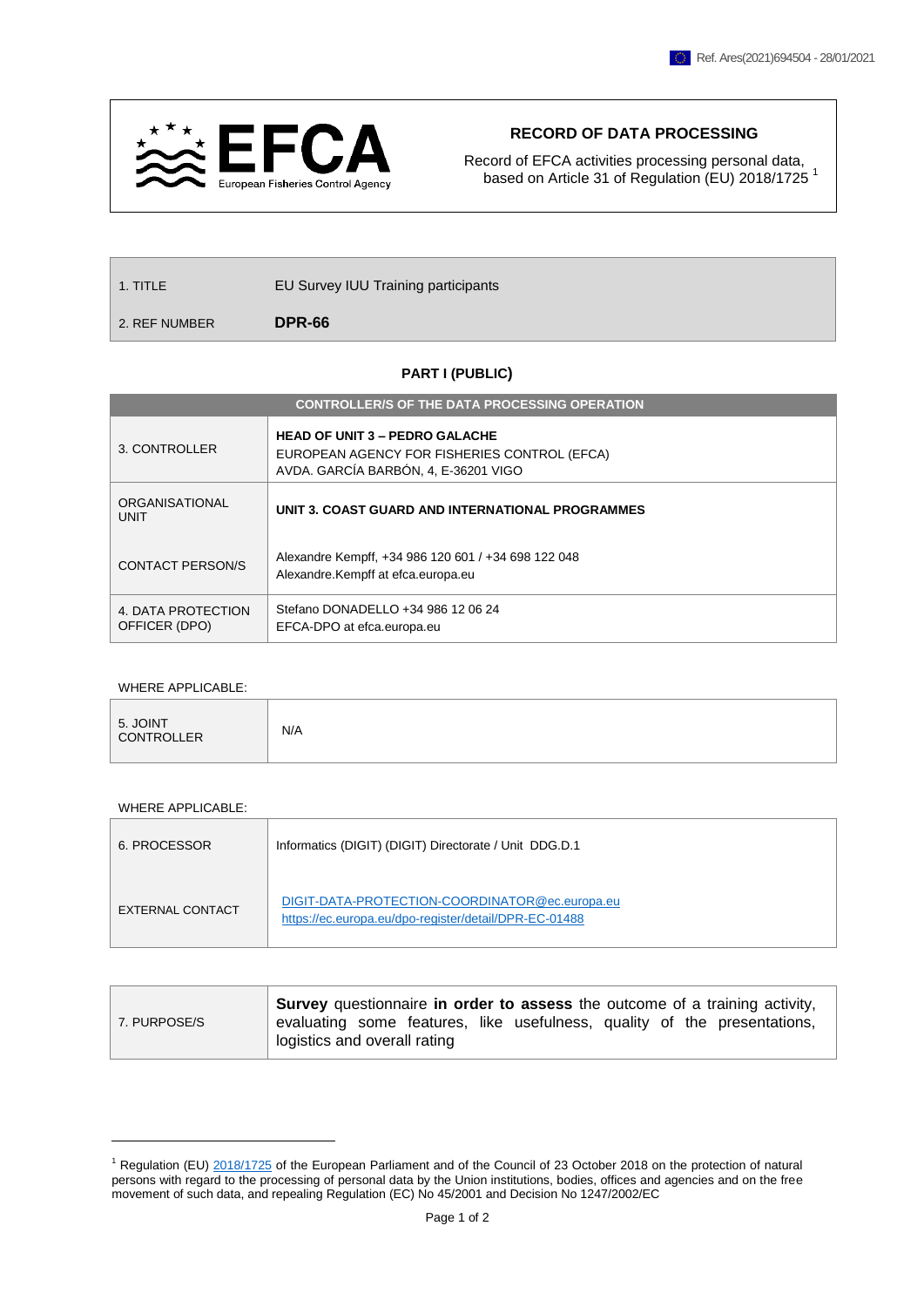

## **RECORD OF DATA PROCESSING**

Record of EFCA activities processing personal data, based on Article 31 of Regulation (EU) 2018/1725<sup>1</sup>

| $\vert$ 1. TITLE | <b>EU Survey IUU Training participants</b> |  |
|------------------|--------------------------------------------|--|
|                  |                                            |  |

2. REF NUMBER **DPR-66**

## **PART I (PUBLIC)**

| <b>CONTROLLER/S OF THE DATA PROCESSING OPERATION</b> |                                                                                                                               |  |  |  |  |
|------------------------------------------------------|-------------------------------------------------------------------------------------------------------------------------------|--|--|--|--|
| 3. CONTROLLER                                        | <b>HEAD OF UNIT 3 - PEDRO GALACHE</b><br>EUROPEAN AGENCY FOR FISHERIES CONTROL (EFCA)<br>AVDA. GARCÍA BARBÓN, 4, E-36201 VIGO |  |  |  |  |
| ORGANISATIONAL<br>UNIT                               | UNIT 3. COAST GUARD AND INTERNATIONAL PROGRAMMES                                                                              |  |  |  |  |
| CONTACT PERSON/S                                     | Alexandre Kempff, +34 986 120 601 / +34 698 122 048<br>Alexandre.Kempff at efca.europa.eu                                     |  |  |  |  |
| 4. DATA PROTECTION<br>OFFICER (DPO)                  | Stefano DONADELLO +34 986 12 06 24<br>EFCA-DPO at efca.europa.eu                                                              |  |  |  |  |

## WHERE APPLICABLE:

| 5. JOINT<br>CONTROLLER | N/A |
|------------------------|-----|
|------------------------|-----|

## WHERE APPLICABLE:

1

| 6. PROCESSOR     | Informatics (DIGIT) (DIGIT) Directorate / Unit DDG.D.1                                                  |
|------------------|---------------------------------------------------------------------------------------------------------|
| EXTERNAL CONTACT | DIGIT-DATA-PROTECTION-COORDINATOR@ec.europa.eu<br>https://ec.europa.eu/dpo-register/detail/DPR-EC-01488 |

|              | <b>Survey</b> questionnaire in order to assess the outcome of a training activity,                       |  |  |  |
|--------------|----------------------------------------------------------------------------------------------------------|--|--|--|
| 7. PURPOSE/S | evaluating some features, like usefulness, quality of the presentations,<br>logistics and overall rating |  |  |  |

<sup>&</sup>lt;sup>1</sup> Regulation (EU) [2018/1725](https://eur-lex.europa.eu/legal-content/EN/TXT/?uri=CELEX%3A32018R1725) of the European Parliament and of the Council of 23 October 2018 on the protection of natural persons with regard to the processing of personal data by the Union institutions, bodies, offices and agencies and on the free movement of such data, and repealing Regulation (EC) No 45/2001 and Decision No 1247/2002/EC